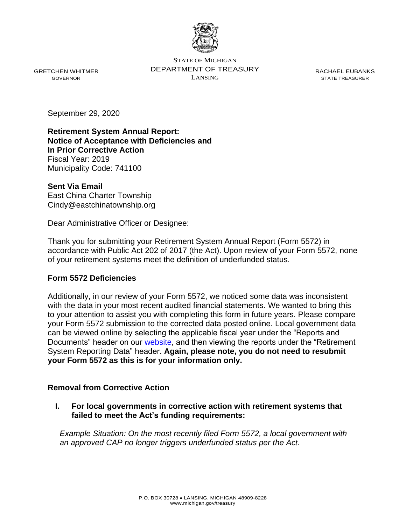

GRETCHEN WHITMER GOVERNOR

STATE OF MICHIGAN DEPARTMENT OF TREASURY LANSING

RACHAEL EUBANKS STATE TREASURER

September 29, 2020

**Retirement System Annual Report: Notice of Acceptance with Deficiencies and In Prior Corrective Action** Fiscal Year: 2019 Municipality Code: 741100

**Sent Via Email** East China Charter Township Cindy@eastchinatownship.org

Dear Administrative Officer or Designee:

Thank you for submitting your Retirement System Annual Report (Form 5572) in accordance with Public Act 202 of 2017 (the Act). Upon review of your Form 5572, none of your retirement systems meet the definition of underfunded status.

### **Form 5572 Deficiencies**

Additionally, in our review of your Form 5572, we noticed some data was inconsistent with the data in your most recent audited financial statements. We wanted to bring this to your attention to assist you with completing this form in future years. Please compare your Form 5572 submission to the corrected data posted online. Local government data can be viewed online by selecting the applicable fiscal year under the "Reports and Documents" header on our [website,](Michigan.gov/LocalRetirementReporting) and then viewing the reports under the "Retirement" System Reporting Data" header. **Again, please note, you do not need to resubmit your Form 5572 as this is for your information only.**

### **Removal from Corrective Action**

**I. For local governments in corrective action with retirement systems that failed to meet the Act's funding requirements:**

*Example Situation: On the most recently filed Form 5572, a local government with an approved CAP no longer triggers underfunded status per the Act.*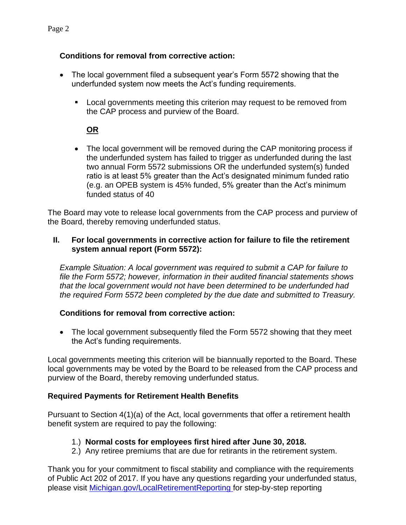# **Conditions for removal from corrective action:**

- The local government filed a subsequent year's Form 5572 showing that the underfunded system now meets the Act's funding requirements.
	- Local governments meeting this criterion may request to be removed from the CAP process and purview of the Board.

# **OR**

• The local government will be removed during the CAP monitoring process if the underfunded system has failed to trigger as underfunded during the last two annual Form 5572 submissions OR the underfunded system(s) funded ratio is at least 5% greater than the Act's designated minimum funded ratio (e.g. an OPEB system is 45% funded, 5% greater than the Act's minimum funded status of 40

The Board may vote to release local governments from the CAP process and purview of the Board, thereby removing underfunded status.

## **II. For local governments in corrective action for failure to file the retirement system annual report (Form 5572):**

*Example Situation: A local government was required to submit a CAP for failure to file the Form 5572; however, information in their audited financial statements shows that the local government would not have been determined to be underfunded had the required Form 5572 been completed by the due date and submitted to Treasury.*

## **Conditions for removal from corrective action:**

• The local government subsequently filed the Form 5572 showing that they meet the Act's funding requirements.

Local governments meeting this criterion will be biannually reported to the Board. These local governments may be voted by the Board to be released from the CAP process and purview of the Board, thereby removing underfunded status.

## **Required Payments for Retirement Health Benefits**

Pursuant to Section 4(1)(a) of the Act, local governments that offer a retirement health benefit system are required to pay the following:

- 1.) **Normal costs for employees first hired after June 30, 2018.**
- 2.) Any retiree premiums that are due for retirants in the retirement system.

Thank you for your commitment to fiscal stability and compliance with the requirements of Public Act 202 of 2017. If you have any questions regarding your underfunded status, please visit [Michigan.gov/LocalRetirementReporting](http://www.michigan.gov/treasury/0,4679,7-121-1751_51556_84499---,00.html) for step-by-step reporting